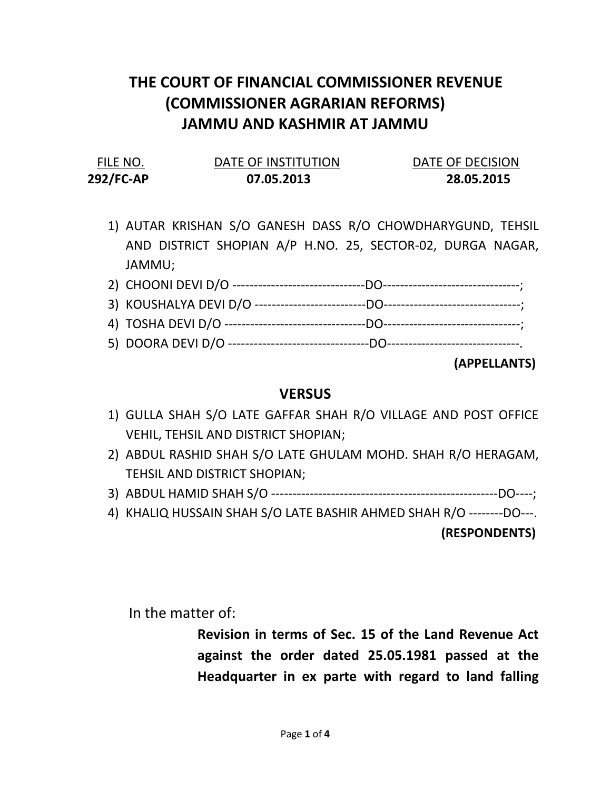# THE COURT OF FINANCIAL COMMISSIONER REVENUE (COMMISSIONER AGRARIAN REFORMS) JAMMU AND KASHMIR AT JAMMU

| FILE NO.  | DATE OF INSTITUTION | DATE OF DECISION |
|-----------|---------------------|------------------|
| 292/FC-AP | 07.05.2013          | 28.05.2015       |

1) AUTAR KRISHAN S/O GANESH DASS R/O CHOWDHARYGUND, TEHSIL AND DISTRICT SHOPIAN A/P H.NO. 25, SECTOR-02, DURGA NAGAR, JAMMU;

#### (APPELLANTS)

#### **VERSUS**

- 1) GULLA SHAH S/O LATE GAFFAR SHAH R/O VILLAGE AND POST OFFICE VEHIL, TEHSIL AND DISTRICT SHOPIAN;
- 2) ABDUL RASHID SHAH S/O LATE GHULAM MOHD. SHAH R/O HERAGAM, TEHSIL AND DISTRICT SHOPIAN;
- 3) ABDUL HAMID SHAH S/O -----------------------------------------------------DO----;
- 4) KHALIQ HUSSAIN SHAH S/O LATE BASHIR AHMED SHAH R/O --------DO---.

(RESPONDENTS)

In the matter of:

Revision in terms of Sec. 15 of the Land Revenue Act against the order dated 25.05.1981 passed at the Headquarter in ex parte with regard to land falling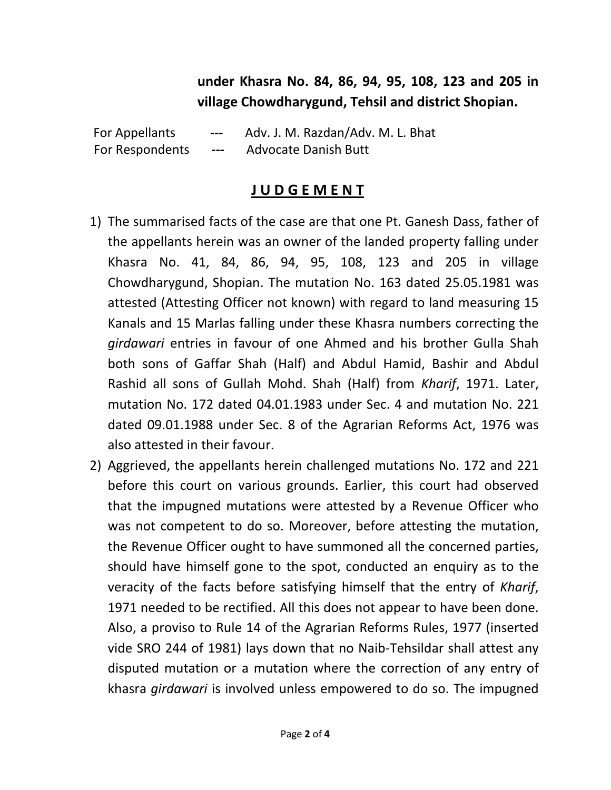## under Khasra No. 84, 86, 94, 95, 108, 123 and 205 in village Chowdharygund, Tehsil and district Shopian.

 For Appellants --- Adv. J. M. Razdan/Adv. M. L. Bhat For Respondents --- Advocate Danish Butt

### J U D G E M E N T

- 1) The summarised facts of the case are that one Pt. Ganesh Dass, father of the appellants herein was an owner of the landed property falling under Khasra No. 41, 84, 86, 94, 95, 108, 123 and 205 in village Chowdharygund, Shopian. The mutation No. 163 dated 25.05.1981 was attested (Attesting Officer not known) with regard to land measuring 15 Kanals and 15 Marlas falling under these Khasra numbers correcting the girdawari entries in favour of one Ahmed and his brother Gulla Shah both sons of Gaffar Shah (Half) and Abdul Hamid, Bashir and Abdul Rashid all sons of Gullah Mohd. Shah (Half) from Kharif, 1971. Later, mutation No. 172 dated 04.01.1983 under Sec. 4 and mutation No. 221 dated 09.01.1988 under Sec. 8 of the Agrarian Reforms Act, 1976 was also attested in their favour.
- 2) Aggrieved, the appellants herein challenged mutations No. 172 and 221 before this court on various grounds. Earlier, this court had observed that the impugned mutations were attested by a Revenue Officer who was not competent to do so. Moreover, before attesting the mutation, the Revenue Officer ought to have summoned all the concerned parties, should have himself gone to the spot, conducted an enquiry as to the veracity of the facts before satisfying himself that the entry of Kharif, 1971 needed to be rectified. All this does not appear to have been done. Also, a proviso to Rule 14 of the Agrarian Reforms Rules, 1977 (inserted vide SRO 244 of 1981) lays down that no Naib-Tehsildar shall attest any disputed mutation or a mutation where the correction of any entry of khasra girdawari is involved unless empowered to do so. The impugned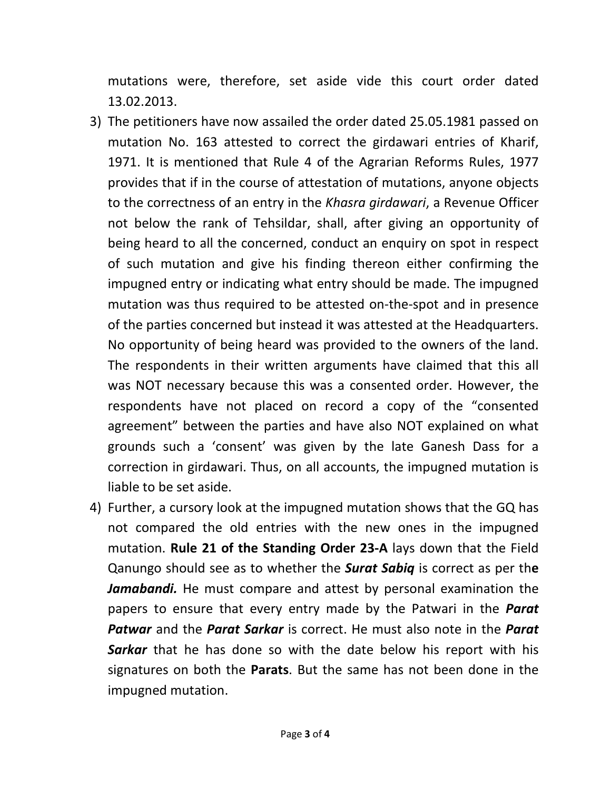mutations were, therefore, set aside vide this court order dated 13.02.2013.

- 3) The petitioners have now assailed the order dated 25.05.1981 passed on mutation No. 163 attested to correct the girdawari entries of Kharif, 1971. It is mentioned that Rule 4 of the Agrarian Reforms Rules, 1977 provides that if in the course of attestation of mutations, anyone objects to the correctness of an entry in the Khasra girdawari, a Revenue Officer not below the rank of Tehsildar, shall, after giving an opportunity of being heard to all the concerned, conduct an enquiry on spot in respect of such mutation and give his finding thereon either confirming the impugned entry or indicating what entry should be made. The impugned mutation was thus required to be attested on-the-spot and in presence of the parties concerned but instead it was attested at the Headquarters. No opportunity of being heard was provided to the owners of the land. The respondents in their written arguments have claimed that this all was NOT necessary because this was a consented order. However, the respondents have not placed on record a copy of the "consented agreement" between the parties and have also NOT explained on what grounds such a 'consent' was given by the late Ganesh Dass for a correction in girdawari. Thus, on all accounts, the impugned mutation is liable to be set aside.
- 4) Further, a cursory look at the impugned mutation shows that the GQ has not compared the old entries with the new ones in the impugned mutation. Rule 21 of the Standing Order 23-A lays down that the Field Qanungo should see as to whether the **Surat Sabiq** is correct as per the Jamabandi. He must compare and attest by personal examination the papers to ensure that every entry made by the Patwari in the **Parat Patwar** and the **Parat Sarkar** is correct. He must also note in the **Parat** Sarkar that he has done so with the date below his report with his signatures on both the **Parats**. But the same has not been done in the impugned mutation.